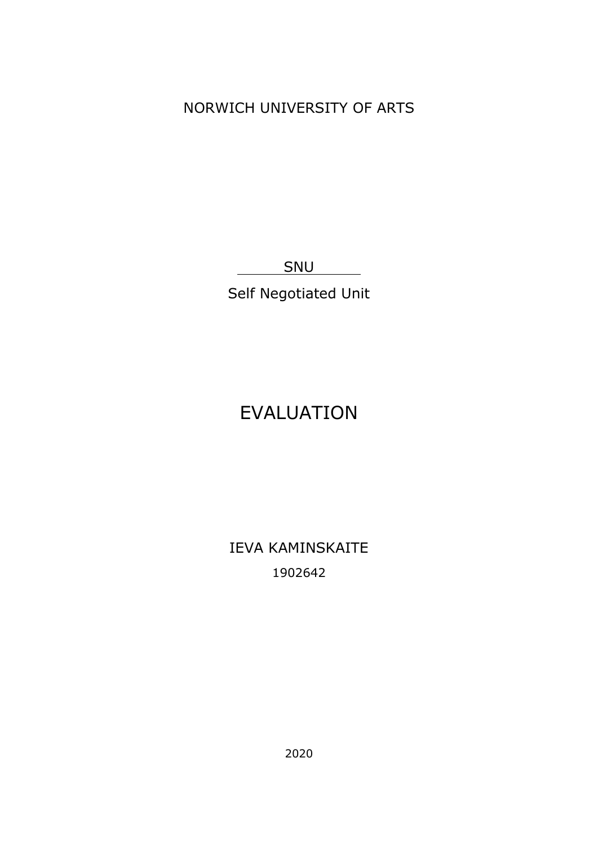NORWICH UNIVERSITY OF ARTS

SNU

Self Negotiated Unit

## **EVALUATION**

**IEVA KAMINSKAITE** 1902642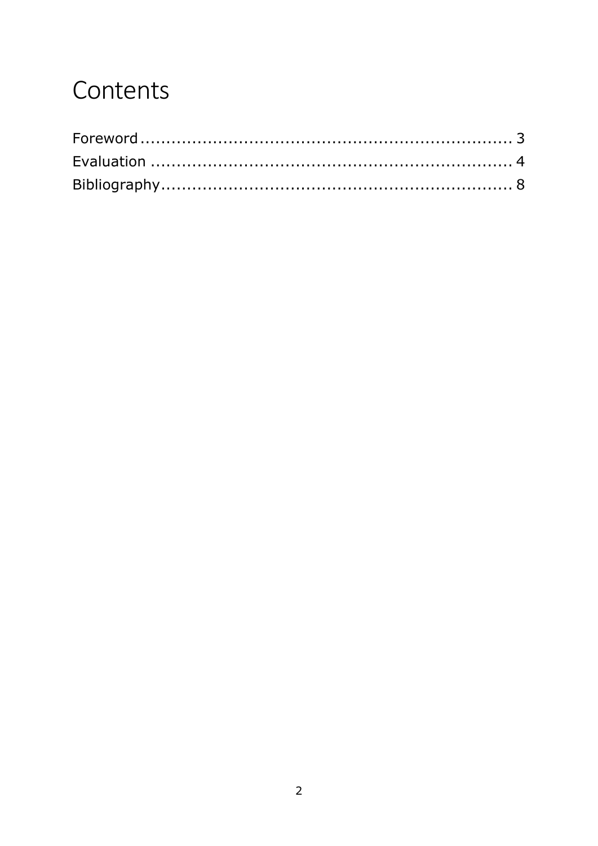# Contents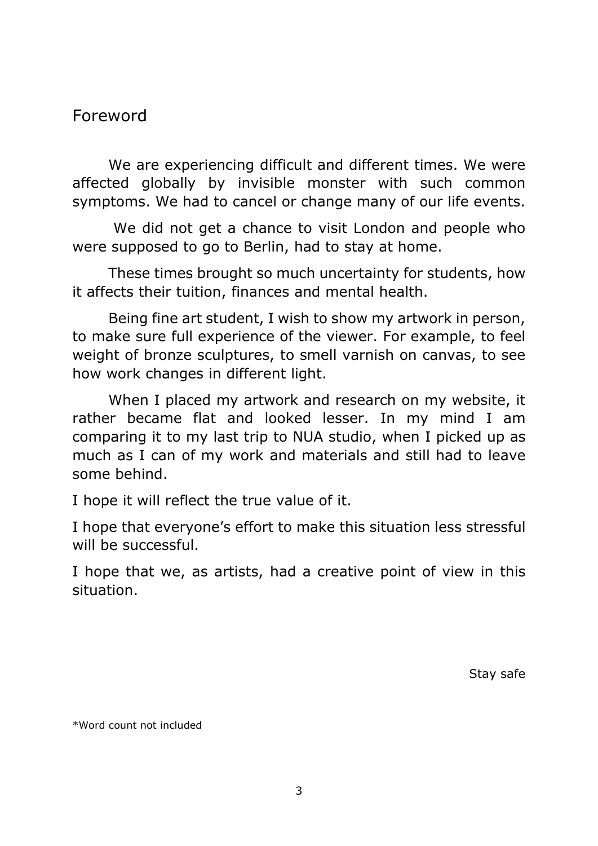#### <span id="page-2-0"></span>Foreword

We are experiencing difficult and different times. We were affected globally by invisible monster with such common symptoms. We had to cancel or change many of our life events.

We did not get a chance to visit London and people who were supposed to go to Berlin, had to stay at home.

These times brought so much uncertainty for students, how it affects their tuition, finances and mental health.

Being fine art student, I wish to show my artwork in person, to make sure full experience of the viewer. For example, to feel weight of bronze sculptures, to smell varnish on canvas, to see how work changes in different light.

When I placed my artwork and research on my website, it rather became flat and looked lesser. In my mind I am comparing it to my last trip to NUA studio, when I picked up as much as I can of my work and materials and still had to leave some behind.

I hope it will reflect the true value of it.

I hope that everyone's effort to make this situation less stressful will be successful.

I hope that we, as artists, had a creative point of view in this situation.

Stay safe

\*Word count not included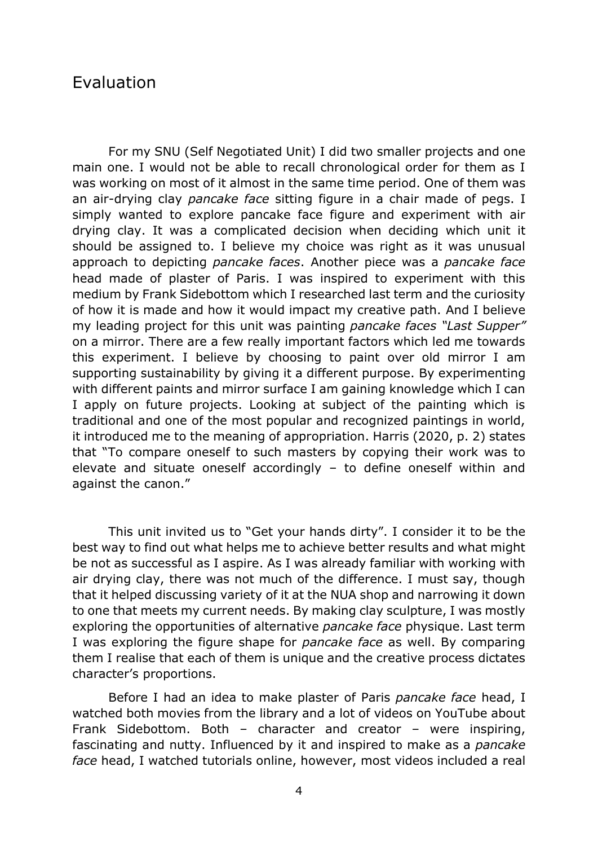#### <span id="page-3-0"></span>Evaluation

For my SNU (Self Negotiated Unit) I did two smaller projects and one main one. I would not be able to recall chronological order for them as I was working on most of it almost in the same time period. One of them was an air-drying clay *pancake face* sitting figure in a chair made of pegs. I simply wanted to explore pancake face figure and experiment with air drying clay. It was a complicated decision when deciding which unit it should be assigned to. I believe my choice was right as it was unusual approach to depicting *pancake faces*. Another piece was a *pancake face* head made of plaster of Paris. I was inspired to experiment with this medium by Frank Sidebottom which I researched last term and the curiosity of how it is made and how it would impact my creative path. And I believe my leading project for this unit was painting *pancake faces "Last Supper"* on a mirror. There are a few really important factors which led me towards this experiment. I believe by choosing to paint over old mirror I am supporting sustainability by giving it a different purpose. By experimenting with different paints and mirror surface I am gaining knowledge which I can I apply on future projects. Looking at subject of the painting which is traditional and one of the most popular and recognized paintings in world, it introduced me to the meaning of appropriation. Harris (2020, p. 2) states that "To compare oneself to such masters by copying their work was to elevate and situate oneself accordingly – to define oneself within and against the canon."

This unit invited us to "Get your hands dirty". I consider it to be the best way to find out what helps me to achieve better results and what might be not as successful as I aspire. As I was already familiar with working with air drying clay, there was not much of the difference. I must say, though that it helped discussing variety of it at the NUA shop and narrowing it down to one that meets my current needs. By making clay sculpture, I was mostly exploring the opportunities of alternative *pancake face* physique. Last term I was exploring the figure shape for *pancake face* as well. By comparing them I realise that each of them is unique and the creative process dictates character's proportions.

Before I had an idea to make plaster of Paris *pancake face* head, I watched both movies from the library and a lot of videos on YouTube about Frank Sidebottom. Both – character and creator – were inspiring, fascinating and nutty. Influenced by it and inspired to make as a *pancake face* head, I watched tutorials online, however, most videos included a real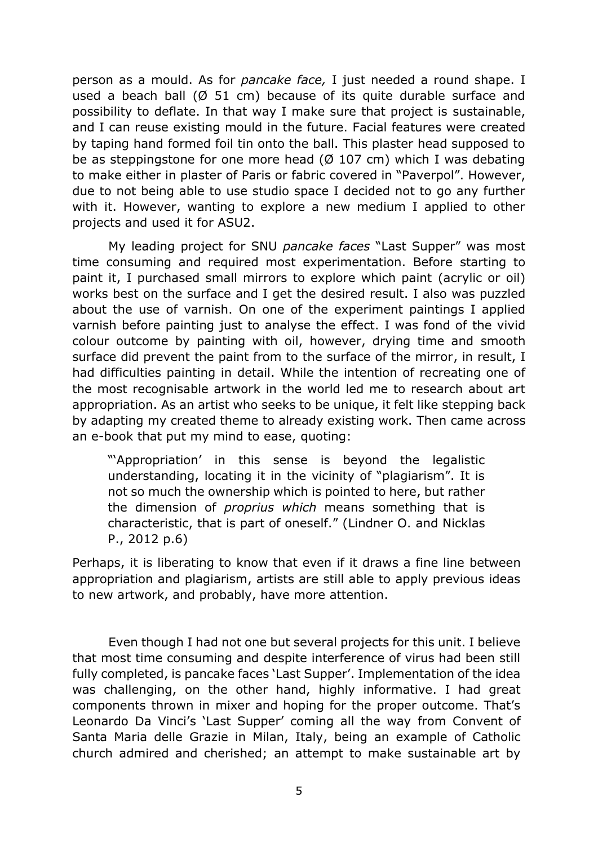person as a mould. As for *pancake face,* I just needed a round shape. I used a beach ball ( $\varnothing$  51 cm) because of its quite durable surface and possibility to deflate. In that way I make sure that project is sustainable, and I can reuse existing mould in the future. Facial features were created by taping hand formed foil tin onto the ball. This plaster head supposed to be as steppingstone for one more head ( $\varnothing$  107 cm) which I was debating to make either in plaster of Paris or fabric covered in "Paverpol". However, due to not being able to use studio space I decided not to go any further with it. However, wanting to explore a new medium I applied to other projects and used it for ASU2.

My leading project for SNU *pancake faces* "Last Supper" was most time consuming and required most experimentation. Before starting to paint it, I purchased small mirrors to explore which paint (acrylic or oil) works best on the surface and I get the desired result. I also was puzzled about the use of varnish. On one of the experiment paintings I applied varnish before painting just to analyse the effect. I was fond of the vivid colour outcome by painting with oil, however, drying time and smooth surface did prevent the paint from to the surface of the mirror, in result, I had difficulties painting in detail. While the intention of recreating one of the most recognisable artwork in the world led me to research about art appropriation. As an artist who seeks to be unique, it felt like stepping back by adapting my created theme to already existing work. Then came across an e-book that put my mind to ease, quoting:

"'Appropriation' in this sense is beyond the legalistic understanding, locating it in the vicinity of "plagiarism". It is not so much the ownership which is pointed to here, but rather the dimension of *proprius which* means something that is characteristic, that is part of oneself." (Lindner O. and Nicklas P., 2012 p.6)

Perhaps, it is liberating to know that even if it draws a fine line between appropriation and plagiarism, artists are still able to apply previous ideas to new artwork, and probably, have more attention.

Even though I had not one but several projects for this unit. I believe that most time consuming and despite interference of virus had been still fully completed, is pancake faces 'Last Supper'. Implementation of the idea was challenging, on the other hand, highly informative. I had great components thrown in mixer and hoping for the proper outcome. That's Leonardo Da Vinci's 'Last Supper' coming all the way from Convent of Santa Maria delle Grazie in Milan, Italy, being an example of Catholic church admired and cherished; an attempt to make sustainable art by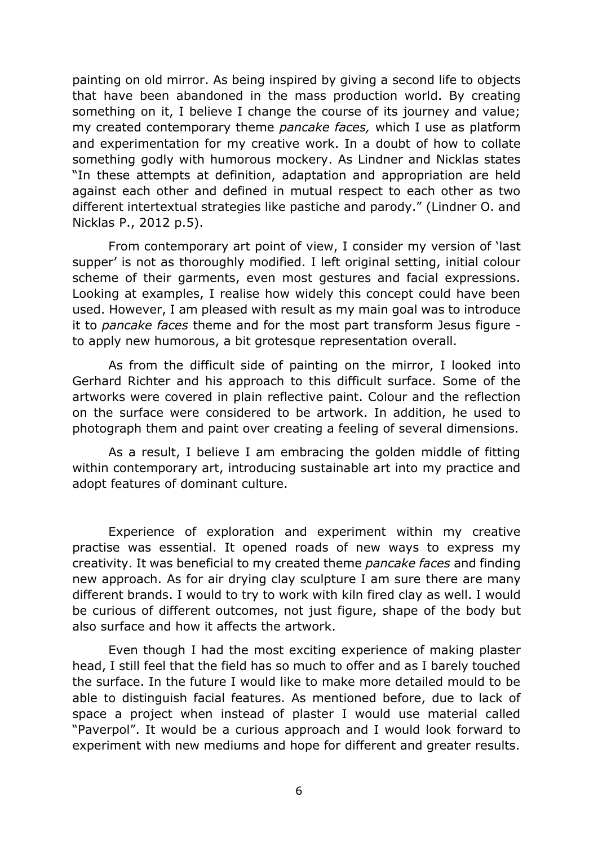painting on old mirror. As being inspired by giving a second life to objects that have been abandoned in the mass production world. By creating something on it, I believe I change the course of its journey and value; my created contemporary theme *pancake faces,* which I use as platform and experimentation for my creative work. In a doubt of how to collate something godly with humorous mockery. As Lindner and Nicklas states "In these attempts at definition, adaptation and appropriation are held against each other and defined in mutual respect to each other as two different intertextual strategies like pastiche and parody." (Lindner O. and Nicklas P., 2012 p.5).

From contemporary art point of view, I consider my version of 'last supper' is not as thoroughly modified. I left original setting, initial colour scheme of their garments, even most gestures and facial expressions. Looking at examples, I realise how widely this concept could have been used. However, I am pleased with result as my main goal was to introduce it to *pancake faces* theme and for the most part transform Jesus figure to apply new humorous, a bit grotesque representation overall.

As from the difficult side of painting on the mirror, I looked into Gerhard Richter and his approach to this difficult surface. Some of the artworks were covered in plain reflective paint. Colour and the reflection on the surface were considered to be artwork. In addition, he used to photograph them and paint over creating a feeling of several dimensions.

As a result, I believe I am embracing the golden middle of fitting within contemporary art, introducing sustainable art into my practice and adopt features of dominant culture.

Experience of exploration and experiment within my creative practise was essential. It opened roads of new ways to express my creativity. It was beneficial to my created theme *pancake faces* and finding new approach. As for air drying clay sculpture I am sure there are many different brands. I would to try to work with kiln fired clay as well. I would be curious of different outcomes, not just figure, shape of the body but also surface and how it affects the artwork.

Even though I had the most exciting experience of making plaster head, I still feel that the field has so much to offer and as I barely touched the surface. In the future I would like to make more detailed mould to be able to distinguish facial features. As mentioned before, due to lack of space a project when instead of plaster I would use material called "Paverpol". It would be a curious approach and I would look forward to experiment with new mediums and hope for different and greater results.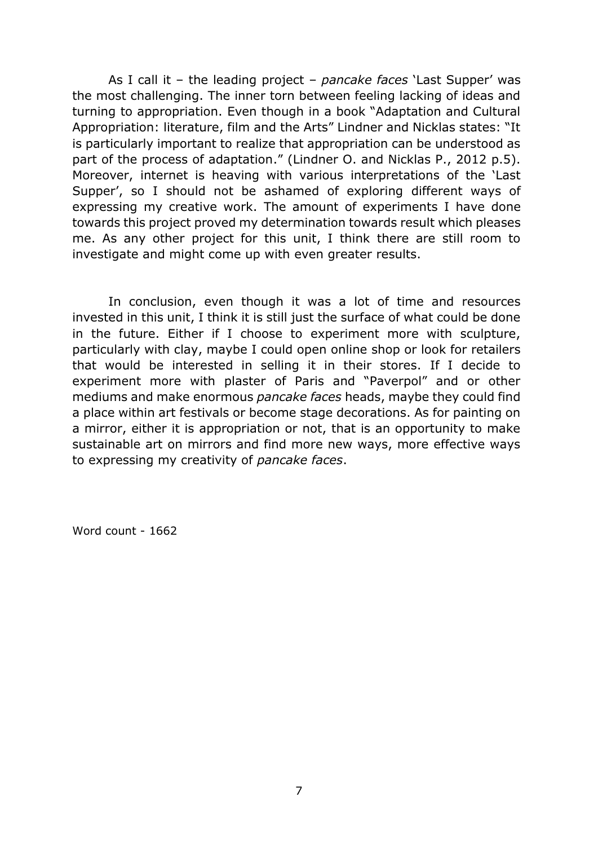As I call it – the leading project – *pancake faces* 'Last Supper' was the most challenging. The inner torn between feeling lacking of ideas and turning to appropriation. Even though in a book "Adaptation and Cultural Appropriation: literature, film and the Arts" Lindner and Nicklas states: "It is particularly important to realize that appropriation can be understood as part of the process of adaptation." (Lindner O. and Nicklas P., 2012 p.5). Moreover, internet is heaving with various interpretations of the 'Last Supper', so I should not be ashamed of exploring different ways of expressing my creative work. The amount of experiments I have done towards this project proved my determination towards result which pleases me. As any other project for this unit, I think there are still room to investigate and might come up with even greater results.

In conclusion, even though it was a lot of time and resources invested in this unit, I think it is still just the surface of what could be done in the future. Either if I choose to experiment more with sculpture, particularly with clay, maybe I could open online shop or look for retailers that would be interested in selling it in their stores. If I decide to experiment more with plaster of Paris and "Paverpol" and or other mediums and make enormous *pancake faces* heads, maybe they could find a place within art festivals or become stage decorations. As for painting on a mirror, either it is appropriation or not, that is an opportunity to make sustainable art on mirrors and find more new ways, more effective ways to expressing my creativity of *pancake faces*.

Word count - 1662